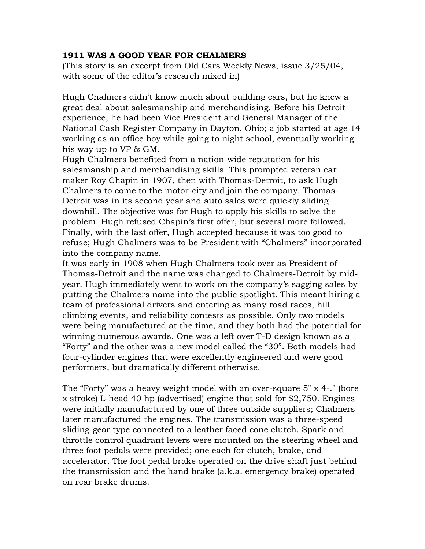## **1911 WAS A GOOD YEAR FOR CHALMERS**

(This story is an excerpt from Old Cars Weekly News, issue 3/25/04, with some of the editor's research mixed in)

Hugh Chalmers didn't know much about building cars, but he knew a great deal about salesmanship and merchandising. Before his Detroit experience, he had been Vice President and General Manager of the National Cash Register Company in Dayton, Ohio; a job started at age 14 working as an office boy while going to night school, eventually working his way up to VP & GM.

Hugh Chalmers benefited from a nation-wide reputation for his salesmanship and merchandising skills. This prompted veteran car maker Roy Chapin in 1907, then with Thomas-Detroit, to ask Hugh Chalmers to come to the motor-city and join the company. Thomas-Detroit was in its second year and auto sales were quickly sliding downhill. The objective was for Hugh to apply his skills to solve the problem. Hugh refused Chapin's first offer, but several more followed. Finally, with the last offer, Hugh accepted because it was too good to refuse; Hugh Chalmers was to be President with "Chalmers" incorporated into the company name.

It was early in 1908 when Hugh Chalmers took over as President of Thomas-Detroit and the name was changed to Chalmers-Detroit by midyear. Hugh immediately went to work on the company's sagging sales by putting the Chalmers name into the public spotlight. This meant hiring a team of professional drivers and entering as many road races, hill climbing events, and reliability contests as possible. Only two models were being manufactured at the time, and they both had the potential for winning numerous awards. One was a left over T-D design known as a "Forty" and the other was a new model called the "30". Both models had four-cylinder engines that were excellently engineered and were good performers, but dramatically different otherwise.

The "Forty" was a heavy weight model with an over-square 5" x 4-." (bore x stroke) L-head 40 hp (advertised) engine that sold for \$2,750. Engines were initially manufactured by one of three outside suppliers; Chalmers later manufactured the engines. The transmission was a three-speed sliding-gear type connected to a leather faced cone clutch. Spark and throttle control quadrant levers were mounted on the steering wheel and three foot pedals were provided; one each for clutch, brake, and accelerator. The foot pedal brake operated on the drive shaft just behind the transmission and the hand brake (a.k.a. emergency brake) operated on rear brake drums.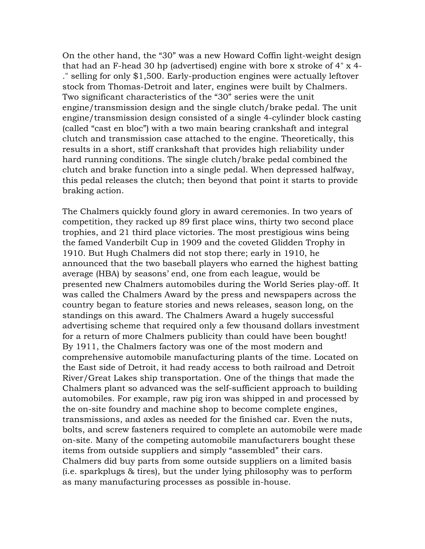On the other hand, the "30" was a new Howard Coffin light-weight design that had an F-head 30 hp (advertised) engine with bore x stroke of 4" x 4- ." selling for only \$1,500. Early-production engines were actually leftover stock from Thomas-Detroit and later, engines were built by Chalmers. Two significant characteristics of the "30" series were the unit engine/transmission design and the single clutch/brake pedal. The unit engine/transmission design consisted of a single 4-cylinder block casting (called "cast en bloc") with a two main bearing crankshaft and integral clutch and transmission case attached to the engine. Theoretically, this results in a short, stiff crankshaft that provides high reliability under hard running conditions. The single clutch/brake pedal combined the clutch and brake function into a single pedal. When depressed halfway, this pedal releases the clutch; then beyond that point it starts to provide braking action.

The Chalmers quickly found glory in award ceremonies. In two years of competition, they racked up 89 first place wins, thirty two second place trophies, and 21 third place victories. The most prestigious wins being the famed Vanderbilt Cup in 1909 and the coveted Glidden Trophy in 1910. But Hugh Chalmers did not stop there; early in 1910, he announced that the two baseball players who earned the highest batting average (HBA) by seasons' end, one from each league, would be presented new Chalmers automobiles during the World Series play-off. It was called the Chalmers Award by the press and newspapers across the country began to feature stories and news releases, season long, on the standings on this award. The Chalmers Award a hugely successful advertising scheme that required only a few thousand dollars investment for a return of more Chalmers publicity than could have been bought! By 1911, the Chalmers factory was one of the most modern and comprehensive automobile manufacturing plants of the time. Located on the East side of Detroit, it had ready access to both railroad and Detroit River/Great Lakes ship transportation. One of the things that made the Chalmers plant so advanced was the self-sufficient approach to building automobiles. For example, raw pig iron was shipped in and processed by the on-site foundry and machine shop to become complete engines, transmissions, and axles as needed for the finished car. Even the nuts, bolts, and screw fasteners required to complete an automobile were made on-site. Many of the competing automobile manufacturers bought these items from outside suppliers and simply "assembled" their cars. Chalmers did buy parts from some outside suppliers on a limited basis (i.e. sparkplugs & tires), but the under lying philosophy was to perform as many manufacturing processes as possible in-house.